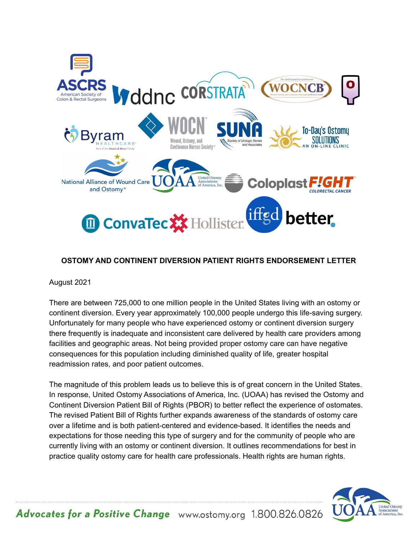

## **OSTOMY AND CONTINENT DIVERSION PATIENT RIGHTS ENDORSEMENT LETTER**

## August 2021

There are between 725,000 to one million people in the United States living with an ostomy or continent diversion. Every year approximately 100,000 people undergo this life-saving surgery. Unfortunately for many people who have experienced ostomy or continent diversion surgery there frequently is inadequate and inconsistent care delivered by health care providers among facilities and geographic areas. Not being provided proper ostomy care can have negative consequences for this population including diminished quality of life, greater hospital readmission rates, and poor patient outcomes.

The magnitude of this problem leads us to believe this is of great concern in the United States. In response, United Ostomy Associations of America, Inc. (UOAA) has revised the Ostomy and Continent Diversion Patient Bill of Rights (PBOR) to better reflect the experience of ostomates. The revised Patient Bill of Rights further expands awareness of the standards of ostomy care over a lifetime and is both patient-centered and evidence-based. It identifies the needs and expectations for those needing this type of surgery and for the community of people who are currently living with an ostomy or continent diversion. It outlines recommendations for best in practice quality ostomy care for health care professionals. Health rights are human rights.



Advocates for a Positive Change www.ostomy.org 1.800.826.0826